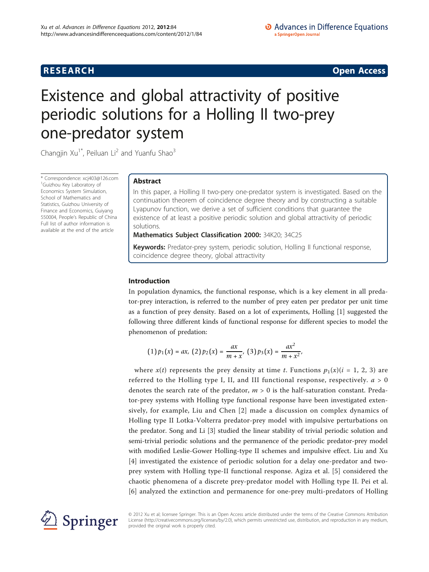# **RESEARCH CONSTRUCTION CONSTRUCTS**

# Existence and global attractivity of positive periodic solutions for a Holling II two-prey one-predator system

Changjin  $Xu^{1*}$ , Peiluan Li<sup>2</sup> and Yuanfu Shao<sup>3</sup>

\* Correspondence: [xcj403@126.com](mailto:xcj403@126.com) 1 Guizhou Key Laboratory of Economics System Simulation, School of Mathematics and Statistics, Guizhou University of Finance and Economics, Guiyang 550004, People's Republic of China Full list of author information is available at the end of the article

# Abstract

In this paper, a Holling II two-pery one-predator system is investigated. Based on the continuation theorem of coincidence degree theory and by constructing a suitable Lyapunov function, we derive a set of sufficient conditions that guarantee the existence of at least a positive periodic solution and global attractivity of periodic solutions.

Mathematics Subject Classification 2000: 34K20; 34C25

Keywords: Predator-prey system, periodic solution, Holling II functional response, coincidence degree theory, global attractivity

# Introduction

In population dynamics, the functional response, which is a key element in all predator-prey interaction, is referred to the number of prey eaten per predator per unit time as a function of prey density. Based on a lot of experiments, Holling [[1\]](#page-12-0) suggested the following three different kinds of functional response for different species to model the phenomenon of predation:

$$
(1)\,p_1(x)=ax,\ (2)\,p_2(x)=\frac{ax}{m+x},\ (3)\,p_3(x)=\frac{ax^2}{m+x^2},
$$

where  $x(t)$  represents the prey density at time t. Functions  $p_1(x)(i = 1, 2, 3)$  are referred to the Holling type I, II, and III functional response, respectively.  $a > 0$ denotes the search rate of the predator,  $m > 0$  is the half-saturation constant. Predator-prey systems with Holling type functional response have been investigated extensively, for example, Liu and Chen [[2\]](#page-12-0) made a discussion on complex dynamics of Holling type II Lotka-Volterra predator-prey model with impulsive perturbations on the predator. Song and Li [\[3](#page-12-0)] studied the linear stability of trivial periodic solution and semi-trivial periodic solutions and the permanence of the periodic predator-prey model with modified Leslie-Gower Holling-type II schemes and impulsive effect. Liu and Xu [[4\]](#page-12-0) investigated the existence of periodic solution for a delay one-predator and twoprey system with Holling type-II functional response. Agiza et al. [[5\]](#page-12-0) considered the chaotic phenomena of a discrete prey-predator model with Holling type II. Pei et al. [[6\]](#page-12-0) analyzed the extinction and permanence for one-prey multi-predators of Holling



© 2012 Xu et al; licensee Springer. This is an Open Access article distributed under the terms of the Creative Commons Attribution License [\(http://creativecommons.org/licenses/by/2.0](http://creativecommons.org/licenses/by/2.0)), which permits unrestricted use, distribution, and reproduction in any medium, provided the original work is properly cited.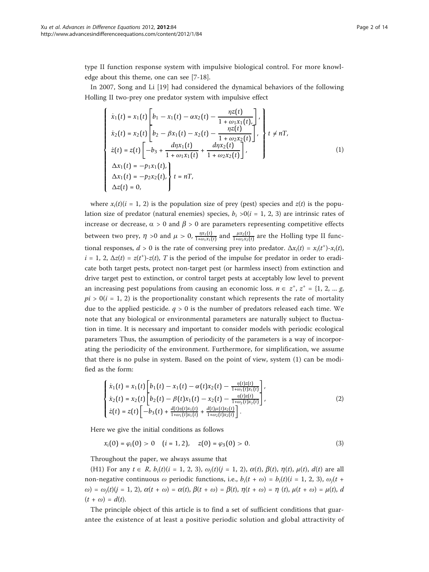type II function response system with impulsive biological control. For more knowledge about this theme, one can see [[7-18](#page-12-0)].

In 2007, Song and Li [\[19](#page-12-0)] had considered the dynamical behaviors of the following Holling II two-prey one predator system with impulsive effect

$$
\begin{cases}\n\dot{x}_1(t) = x_1(t) \left[ b_1 - x_1(t) - \alpha x_2(t) - \frac{\eta z(t)}{1 + \omega_1 x_1(t)}, \frac{\eta z(t)}{1 + \omega_2 x_2(t)} \right], \\
\dot{x}_2(t) = x_2(t) \left[ b_2 - \beta x_1(t) - x_2(t) - \frac{\eta z(t)}{1 + \omega_2 x_2(t)} \right], \\
\dot{z}(t) = z(t) \left[ -b_3 + \frac{d\eta x_1(t)}{1 + \omega_1 x_1(t)} + \frac{d\eta x_2(t)}{1 + \omega_2 x_2(t)} \right], \\
\Delta x_1(t) = -p_1 x_1(t), \\
\Delta x_1(t) = -p_2 x_2(t), \\
\Delta z(t) = 0,\n\end{cases}
$$
\n(1)

where  $x_i(t)$  (i = 1, 2) is the population size of prey (pest) species and  $z(t)$  is the population size of predator (natural enemies) species,  $b_i > 0$  (i = 1, 2, 3) are intrinsic rates of increase or decrease,  $\alpha > 0$  and  $\beta > 0$  are parameters representing competitive effects between two prey,  $\eta > 0$  and  $\mu > 0$ ,  $\frac{\eta x_1(t)}{1 + \omega_1 x_1(t)}$  and  $\frac{\mu x_2(t)}{1 + \omega_2 x_2(t)}$  are the Holling type II functional responses,  $d > 0$  is the rate of conversing prey into predator.  $\Delta x_i(t) = x_i(t^+) - x_i(t)$ ,  $i = 1, 2, \Delta z(t) = z(t^+)$ - $z(t)$ , T is the period of the impulse for predator in order to eradicate both target pests, protect non-target pest (or harmless insect) from extinction and drive target pest to extinction, or control target pests at acceptably low level to prevent an increasing pest populations from causing an economic loss.  $n \in z^*$ ,  $z^* = \{1, 2, ..., g\}$  $pi > 0(i = 1, 2)$  is the proportionality constant which represents the rate of mortality due to the applied pesticide.  $q > 0$  is the number of predators released each time. We note that any biological or environmental parameters are naturally subject to fluctuation in time. It is necessary and important to consider models with periodic ecological parameters Thus, the assumption of periodicity of the parameters is a way of incorporating the periodicity of the environment. Furthermore, for simplification, we assume that there is no pulse in system. Based on the point of view, system (1) can be modified as the form:

$$
\begin{cases}\n\dot{x}_1(t) = x_1(t) \left[ b_1(t) - x_1(t) - \alpha(t)x_2(t) - \frac{\eta(t)z(t)}{1+\omega_1(t)x_1(t)} \right], \\
\dot{x}_2(t) = x_2(t) \left[ b_2(t) - \beta(t)x_1(t) - x_2(t) - \frac{\eta(t)z(t)}{1+\omega_2(t)x_2(t)} \right], \\
\dot{z}(t) = z(t) \left[ -b_3(t) + \frac{d(t)\eta(t)x_1(t)}{1+\omega_1(t)x_1(t)} + \frac{d(t)\mu(t)x_2(t)}{1+\omega_2(t)x_2(t)} \right].\n\end{cases}
$$
\n(2)

Here we give the initial conditions as follows

 $x_i(0) = \varphi_i(0) > 0$   $(i = 1, 2), z(0) = \varphi_3(0) > 0.$  (3)

Throughout the paper, we always assume that

(H1) For any  $t \in R$ ,  $b_i(t)(i = 1, 2, 3)$ ,  $\omega_i(t)(j = 1, 2)$ ,  $\alpha(t)$ ,  $\beta(t)$ ,  $\eta(t)$ ,  $\mu(t)$ ,  $d(t)$  are all non-negative continuous  $\omega$  periodic functions, i.e.,  $b_i(t + \omega) = b_i(t)(i = 1, 2, 3)$ ,  $\omega_i(t + \omega)$  $\omega$ ) =  $\omega_i(t)$ (j = 1, 2),  $\alpha(t + \omega) = \alpha(t)$ ,  $\beta(t + \omega) = \beta(t)$ ,  $\eta(t + \omega) = \eta(t)$ ,  $\mu(t + \omega) = \mu(t)$ , d  $(t + \omega) = d(t)$ .

The principle object of this article is to find a set of sufficient conditions that guarantee the existence of at least a positive periodic solution and global attractivity of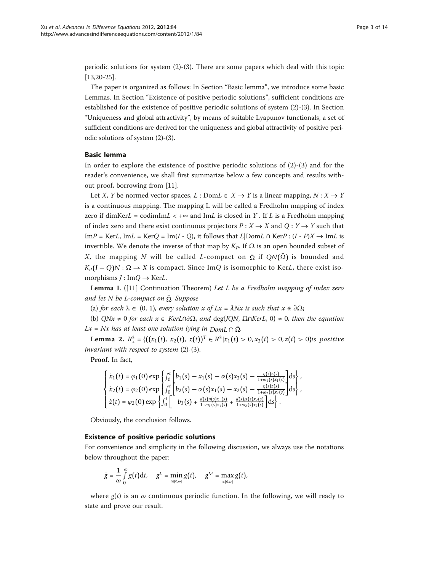periodic solutions for system  $(2)-(3)$ . There are some papers which deal with this topic [[13,](#page-12-0)[20](#page-13-0)-[25\]](#page-13-0).

The paper is organized as follows: In Section "Basic lemma", we introduce some basic Lemmas. In Section "Existence of positive periodic solutions", sufficient conditions are established for the existence of positive periodic solutions of system (2)-(3). In Section "Uniqueness and global attractivity", by means of suitable Lyapunov functionals, a set of sufficient conditions are derived for the uniqueness and global attractivity of positive periodic solutions of system (2)-(3).

# Basic lemma

In order to explore the existence of positive periodic solutions of  $(2)-(3)$  and for the reader's convenience, we shall first summarize below a few concepts and results without proof, borrowing from [\[11\]](#page-12-0).

Let X, Y be normed vector spaces,  $L : Dom L \in X \rightarrow Y$  is a linear mapping,  $N : X \rightarrow Y$ is a continuous mapping. The mapping L will be called a Fredholm mapping of index zero if dimKerL = codimImL < + $\infty$  and ImL is closed in Y. If L is a Fredholm mapping of index zero and there exist continuous projectors  $P : X \to X$  and  $Q : Y \to Y$  such that ImP = KerL, ImL = KerQ = Im(I - Q), it follows that  $L|DomL \cap KerP : (I - P)X \rightarrow ImL$  is invertible. We denote the inverse of that map by  $K_P$ . If  $\Omega$  is an open bounded subset of X, the mapping N will be called L-compact on  $\overline{\Omega}$  if  $QN(\overline{\Omega})$  is bounded and  $K_P(I-Q)N : \overline{\Omega} \to X$  is compact. Since ImQ is isomorphic to KerL, there exist isomorphisms  $J: \text{Im}Q \rightarrow \text{Ker}L$ .

**Lemma 1.** ([\[11](#page-12-0)] Continuation Theorem) Let L be a Fredholm mapping of index zero and let N be L-compact on  $\overline{\Omega}$ . Suppose

(a) for each  $\lambda \in (0, 1)$ , every solution x of  $Lx = \lambda Nx$  is such that  $x \notin \partial \Omega$ ;

(b)  $QNx \neq 0$  for each  $x \in KerL \cap \partial \Omega$ , and deg{JQN,  $\Omega \cap KerL$ ,  $0 \} \neq 0$ , then the equation Lx = Nx has at least one solution lying in  $DomL \cap \overline{\Omega}$ .

**Lemma 2.**  $R_+^3 = \{((x_1(t), x_2(t), z(t))^T \in R^3 | x_1(t) > 0, x_2(t) > 0, z(t) > 0\}$ is positive invariant with respect to system (2)-(3).

Proof. In fact,

$$
\begin{cases} \dot{x}_1(t) = \varphi_1(0) \exp \left\{ \int_0^t \left[ b_1(s) - x_1(s) - \alpha(s) x_2(s) - \frac{\eta(s) z(s)}{1 + \omega_1(s) x_1(s)} \right] ds \right\}, \\ \dot{x}_2(t) = \varphi_2(0) \exp \left\{ \int_0^t \left[ b_2(s) - \alpha(s) x_1(s) - x_2(s) - \frac{\eta(s) z(s)}{1 + \omega_2(s) x_2(s)} \right] ds \right\}, \\ \dot{z}(t) = \varphi_2(0) \exp \left\{ \int_0^t \left[ -b_3(s) + \frac{d(s) \eta(s) x_1(s)}{1 + \omega_1(s) x_1(s)} + \frac{d(s) \mu(s) x_2(s)}{1 + \omega_2(s) x_2(s)} \right] ds \right\}. \end{cases}
$$

Obviously, the conclusion follows.

### Existence of positive periodic solutions

For convenience and simplicity in the following discussion, we always use the notations below throughout the paper:

$$
\bar{g}=\frac{1}{\omega}\int\limits_0^\omega g(t)\mathrm{d} t,\quad g^L=\min_{t\in[0,\omega]}g(t),\quad g^M=\max_{t\in[0,\omega]}g(t),
$$

where  $g(t)$  is an  $\omega$  continuous periodic function. In the following, we will ready to state and prove our result.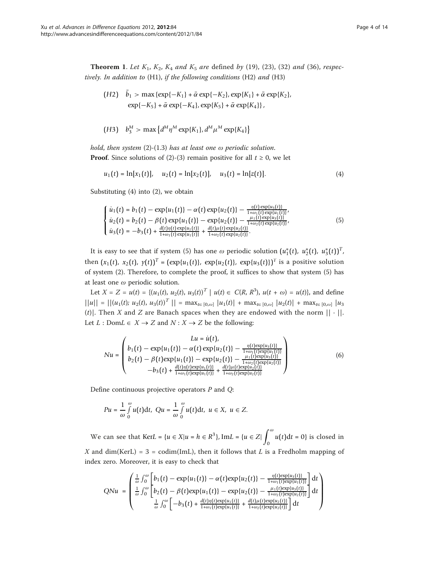**Theorem 1.** Let  $K_1$ ,  $K_2$ ,  $K_4$  and  $K_5$  are defined by (19), (23), (32) and (36), respectively. In addition to (H1), if the following conditions (H2) and (H3)

$$
\begin{aligned} \text{(H2)} \quad b_1 > \max\left\{\exp\{-K_1\} + \bar{\alpha} \exp\{-K_2\}, \exp\{K_1\} + \bar{\alpha} \exp\{K_2\}, \right. \\ \quad &\exp\{-K_5\} + \bar{\alpha} \exp\{-K_4\}, \exp\{K_5\} + \bar{\alpha} \exp\{K_4\} \}, \end{aligned}
$$

(H3) 
$$
b_3^M > \max \{ d^M \eta^M \exp\{K_1\}, d^M \mu^M \exp\{K_4\} \}
$$

hold, then system  $(2)-(1.3)$  has at least one  $\omega$  periodic solution. **Proof.** Since solutions of (2)-(3) remain positive for all  $t \ge 0$ , we let

$$
u_1(t) = \ln[x_1(t)], \quad u_2(t) = \ln[x_2(t)], \quad u_3(t) = \ln[z(t)]. \tag{4}
$$

Substituting (4) into (2), we obtain

$$
\begin{cases}\n\dot{u}_1(t) = b_1(t) - \exp\{u_1(t)\} - \alpha(t) \exp\{u_2(t)\} - \frac{\eta(t) \exp\{u_3(t)\}}{1 + \omega_1(t) \exp\{u_1(t)\}}, \\
\dot{u}_2(t) = b_2(t) - \beta(t) \exp\{u_1(t)\} - \exp\{u_2(t)\} - \frac{\mu_1(t) \exp\{u_3(t)\}}{1 + \omega_2(t) \exp\{u_2(t)\}}, \\
\dot{u}_3(t) = -b_3(t) + \frac{d(t)\eta(t) \exp\{u_1(t)\}}{1 + \omega_1(t) \exp\{u_1(t)\}} + \frac{d(t)\mu(t) \exp\{u_2(t)\}}{1 + \omega_2(t) \exp\{u_2(t)\}}.\n\end{cases} \tag{5}
$$

It is easy to see that if system (5) has one  $\omega$  periodic solution  $(u_1^*(t), u_2^*(t), u_3^*(t))^T$ , then  $(x_1(t), x_2(t), y(t))^T = (\exp\{u_1(t)\}, \exp\{u_2(t)\}, \exp\{u_3(t)\})^T$  is a positive solution of system (2). Therefore, to complete the proof, it suffices to show that system (5) has at least one  $\omega$  periodic solution.

Let  $X = Z = u(t) = \{(u_1(t), u_2(t), u_3(t))^\top | u(t) \in C(R, R^3), u(t + \omega) = u(t)\}\)$ , and define  $||u|| = ||(u_1(t); u_2(t), u_3(t))^T|| = \max_{t \in [0,\omega]} |u_1(t)| + \max_{t \in [0,\omega]} |u_2(t)| + \max_{t \in [0,\omega]} |u_3(t)|$ (t)]. Then X and Z are Banach spaces when they are endowed with the norm  $|| \cdot ||$ . Let  $L : Dom L \in X \rightarrow Z$  and  $N : X \rightarrow Z$  be the following:

$$
Nu = \begin{pmatrix} Lu = \dot{u}(t), \\ b_1(t) - \exp\{u_1(t)\} - \alpha(t) \exp\{u_2(t)\} - \frac{\eta(t) \exp\{u_3(t)\}}{1 + \omega_1(t) \exp\{u_1(t)\}} \\ b_2(t) - \beta(t) \exp\{u_1(t)\} - \exp\{u_2(t)\} - \frac{\mu_1(t) \exp\{u_3(t)\}}{1 + \omega_2(t) \exp\{u_2(t)\}} \\ -b_3(t) + \frac{d(t)\eta(t) \exp\{u_1(t)\}}{1 + \omega_1(t) \exp\{u_1(t)\}} + \frac{d(t)\mu(t) \exp\{u_2(t)\}}{1 + \omega_2(t) \exp\{u_2(t)\}} \end{pmatrix}
$$
(6)

Define continuous projective operators  $P$  and  $Q$ :

$$
Pu = \frac{1}{\omega} \int\limits_{0}^{\omega} u(t) \mathrm{d}t, \quad Qu = \frac{1}{\omega} \int\limits_{0}^{\omega} u(t) \mathrm{d}t, \ u \in X, \ u \in Z.
$$

We can see that  $KerL = {u ∈ X | u = h ∈ R<sup>3</sup>}, ImL = {u ∈ Z| ∫<sup>ω</sup>}$  $\int_0^{\pi} u(t)dt = 0$  is closed in X and dim(KerL) = 3 = codim(ImL), then it follows that L is a Fredholm mapping of index zero. Moreover, it is easy to check that

$$
QNu = \begin{pmatrix} \frac{1}{\omega} \int_0^{\omega} \left[ b_1(t) - \exp\{u_1(t)\} - \alpha(t) \exp\{u_2(t)\} - \frac{\eta(t) \exp\{u_3(t)\}}{1 + \omega_1(t) \exp\{u_1(t)\}} \right] dt \\ \frac{1}{\omega} \int_0^{\omega} \left[ b_2(t) - \beta(t) \exp\{u_1(t)\} - \exp\{u_2(t)\} - \frac{\mu_1(t) \exp\{u_3(t)\}}{1 + \omega_2(t) \exp\{u_2(t)\}} \right] dt \\ \frac{1}{\omega} \int_0^{\omega} \left[ -b_3(t) + \frac{d(t)\eta(t) \exp\{u_1(t)\}}{1 + \omega_1(t) \exp\{u_1(t)\}} + \frac{d(t)\mu(t) \exp\{u_2(t)\}}{1 + \omega_2(t) \exp\{u_2(t)\}} \right] dt \end{pmatrix}
$$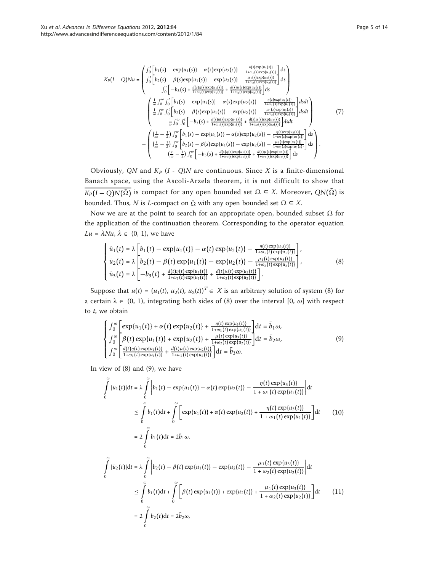$$
K_{P}(I-Q)Nu = \begin{pmatrix} \int_{0}^{t} \left[ b_{1}(s) - \exp\{u_{1}(s)\} - \alpha(s) \exp\{u_{2}(s)\} - \frac{n(s) \exp\{u_{3}(s)\}}{1 + \omega_{1}(s) \exp\{u_{1}(s)\}} \right] ds \\ \int_{0}^{t} \left[ -b_{3}(s) + \frac{d(s)\eta(s) \exp\{u_{1}(s)\} + d(s) \exp\{u_{2}(s)\}}{1 + \omega_{2}(s) \exp\{u_{2}(s)\}} \right] ds \\ \int_{0}^{t} \left[ -b_{3}(s) + \frac{d(s)\eta(s) \exp\{u_{1}(s)\} + d(s) \exp\{u_{2}(s)\}}{1 + \omega_{2}(s) \exp\{u_{2}(s)\}} \right] ds \\ - \begin{pmatrix} \frac{1}{\omega} \int_{0}^{\omega} \int_{0}^{t} \left[ b_{1}(s) - \exp\{u_{1}(s)\} - \alpha(s) \exp\{u_{2}(s)\} - \frac{n(s) \exp\{u_{3}(s)\}}{1 + \omega_{1}(s) \exp\{u_{1}(s)\}} \right] ds dt \\ \frac{1}{\omega} \int_{0}^{\omega} \int_{0}^{t} \left[ b_{2}(s) - \beta(s) \exp\{u_{1}(s)\} - \exp\{u_{2}(s)\} - \frac{\mu_{1}(s) \exp\{u_{3}(s)\}}{1 + \omega_{1}(s) \exp\{u_{2}(s)\}} \right] ds dt \\ \frac{1}{\omega} \int_{0}^{\omega} \int_{0}^{t} \left[ -b_{3}(s) + \frac{d(s)\eta(s) \exp\{u_{1}(s)\} + d(s) \mu_{3}(s) \exp\{u_{2}(s)\}}{1 + \omega_{2}(s) \exp\{u_{2}(s)\}} \right] ds dt \\ \frac{1}{\omega} \int_{0}^{\omega} \left[ b_{1}(s) - \exp\{u_{1}(s)\} - \alpha(s) \exp\{u_{2}(s)\} - \frac{n(s) \exp\{u_{2}(s)\}}{1 + \omega_{2}(s) \exp\{u_{2}(s)\}} \right] ds dt \\ \frac{1}{\omega} \left( \frac{t}{\omega} - \frac{1}{2} \right) \int_{0}^{\omega} \left[ b_{2}(s) - \beta(s) \exp\{u_{1}(s)\} - \exp\{u
$$

Obviously, QN and  $K_p$  (I - Q)N are continuous. Since X is a finite-dimensional Banach space, using the Ascoli-Arzela theorem, it is not difficult to show that  $\overline{K_P(I-Q)N(\bar{\Omega})}$  is compact for any open bounded set  $\Omega \subseteq X$ . Moreover,  $QN(\bar{\Omega})$  is bounded. Thus, N is L-compact on  $\overline{\Omega}$  with any open bounded set  $\Omega \subset X$ .

Now we are at the point to search for an appropriate open, bounded subset  $Ω$  for the application of the continuation theorem. Corresponding to the operator equation  $Lu = \lambda Nu$ ,  $\lambda \in (0, 1)$ , we have

$$
\begin{cases}\n\dot{u}_1(t) = \lambda \left[ b_1(t) - \exp\{u_1(t)\} - \alpha(t) \exp\{u_2(t)\} - \frac{\eta(t) \exp\{u_3(t)\}}{1 + \omega_1(t) \exp\{u_1(t)\}} \right], \\
\dot{u}_2(t) = \lambda \left[ b_2(t) - \beta(t) \exp\{u_1(t)\} - \exp\{u_2(t)\} - \frac{\mu_1(t) \exp\{u_3(t)\}}{1 + \omega_2(t) \exp\{u_2(t)\}} \right], \\
\dot{u}_3(t) = \lambda \left[ -b_3(t) + \frac{d(t)\eta(t) \exp\{u_1(t)\}}{1 + \omega_1(t) \exp\{u_1(t)\}} + \frac{d(t)\mu(t) \exp\{u_2(t)\}}{1 + \omega_2(t) \exp\{u_2(t)\}} \right].\n\end{cases} \tag{8}
$$

Suppose that  $u(t)=(u_1(t), u_2(t), u_3(t))^T \in X$  is an arbitrary solution of system (8) for a certain  $\lambda \in (0, 1)$ , integrating both sides of (8) over the interval  $[0, \omega]$  with respect to  $t$ , we obtain

$$
\begin{cases}\n\int_{0}^{\omega} \left[ \exp\{u_{1}(t)\} + \alpha(t) \exp\{u_{2}(t)\} + \frac{\eta(t) \exp\{u_{3}(t)\}}{1 + \omega_{1}(t) \exp\{u_{1}(t)\}} \right] dt = \bar{b}_{1} \omega, \\
\int_{0}^{\omega} \left[ \beta(t) \exp\{u_{1}(t)\} + \exp\{u_{2}(t)\} + \frac{\mu(t) \exp\{u_{3}(t)\}}{1 + \omega_{2}(t) \exp\{u_{2}(t)\}} \right] dt = \bar{b}_{2} \omega, \\
\int_{0}^{\omega} \left[ \frac{d(t)\eta(t) \exp\{u_{1}(t)\}}{1 + \omega_{1}(t) \exp\{u_{1}(t)\}} + \frac{d(t)\mu(t) \exp\{u_{2}(t)\}}{1 + \omega_{2}(t) \exp\{u_{2}(t)\}} \right] dt = \bar{b}_{3} \omega.\n\end{cases} \tag{9}
$$

In view of (8) and (9), we have

$$
\int_{0}^{\omega} |\dot{u}_{1}(t)|dt = \lambda \int_{0}^{\omega} \left| b_{1}(t) - \exp\{u_{1}(t)\} - \alpha(t) \exp\{u_{2}(t)\} - \frac{\eta(t) \exp\{u_{3}(t)\}}{1 + \omega_{1}(t) \exp\{u_{1}(t)\}} \right| dt
$$
\n
$$
\leq \int_{0}^{\omega} b_{1}(t)dt + \int_{0}^{\omega} \left[ \exp\{u_{1}(t)\} + \alpha(t) \exp\{u_{2}(t)\} + \frac{\eta(t) \exp\{u_{3}(t)\}}{1 + \omega_{1}(t) \exp\{u_{1}(t)\}} \right] dt \qquad (10)
$$
\n
$$
= 2 \int_{0}^{\omega} b_{1}(t)dt = 2\bar{b}_{1}\omega,
$$
\n
$$
\int_{0}^{\omega} |\dot{u}_{2}(t)|dt = \lambda \int_{0}^{\omega} \left| b_{2}(t) - \beta(t) \exp\{u_{1}(t)\} - \exp\{u_{2}(t)\} - \frac{\mu_{1}(t) \exp\{u_{3}(t)\}}{1 + \omega_{2}(t) \exp\{u_{2}(t)\}} \right| dt
$$
\n
$$
\leq \int_{0}^{\omega} b_{1}(t)dt + \int_{0}^{\omega} \left[ \beta(t) \exp\{u_{1}(t)\} + \exp\{u_{2}(t)\} + \frac{\mu_{1}(t) \exp\{u_{3}(t)\}}{1 + \omega_{2}(t) \exp\{u_{2}(t)\}} \right] dt \qquad (11)
$$
\n
$$
= 2 \int_{0}^{\omega} b_{2}(t)dt = 2\bar{b}_{2}\omega,
$$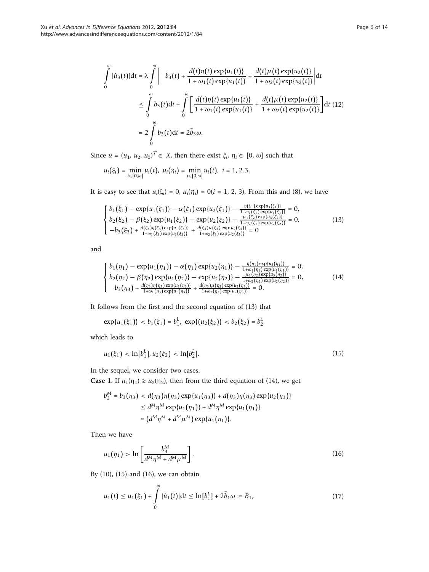$$
\int_{0}^{\omega} |\dot{u}_3(t)| dt = \lambda \int_{0}^{\omega} \left| -b_3(t) + \frac{d(t)\eta(t) \exp\{u_1(t)\}}{1 + \omega_1(t) \exp\{u_1(t)\}} + \frac{d(t)\mu(t) \exp\{u_2(t)\}}{1 + \omega_2(t) \exp\{u_2(t)\}} \right| dt
$$
  
\n
$$
\leq \int_{0}^{\omega} b_3(t) dt + \int_{0}^{\omega} \left[ \frac{d(t)\eta(t) \exp\{u_1(t)\}}{1 + \omega_1(t) \exp\{u_1(t)\}} + \frac{d(t)\mu(t) \exp\{u_2(t)\}}{1 + \omega_2(t) \exp\{u_2(t)\}} \right] dt
$$
(12)  
\n
$$
= 2 \int_{0}^{\omega} b_3(t) dt = 2\bar{b}_3 \omega.
$$

Since  $u = (u_1, u_2, u_3)^T \in X$ , then there exist  $\xi_i$ ,  $\eta_i \in [0, \omega]$  such that

$$
u_i\big(\xi_i\big)=\min_{t\in[0,\omega]}u_i\big(t\big),\ u_i\big(\eta_i\big)=\min_{t\in[0,\omega]}u_i\big(t\big),\ i=1,2.3.
$$

It is easy to see that  $u_i(\xi_i) = 0$ ,  $u_i(\eta_i) = 0$  (i = 1, 2, 3). From this and (8), we have

$$
\begin{cases}\nb_1(\xi_1) - \exp\{u_1(\xi_1)\} - \alpha(\xi_1) \exp\{u_2(\xi_1)\} - \frac{\eta(\xi_1) \exp\{u_3(\xi_1)\}}{1 + \omega_1(\xi_1) \exp\{u_1(\xi_1)\}} = 0, \\
b_2(\xi_2) - \beta(\xi_2) \exp\{u_1(\xi_2)\} - \exp\{u_2(\xi_2)\} - \frac{\mu_1(\xi_2) \exp\{u_3(\xi_2)\}}{1 + \omega_2(\xi_2) \exp\{u_2(\xi_2)\}} = 0, \\
-b_3(\xi_3) + \frac{d(\xi_3)\eta(\xi_3) \exp\{u_1(\xi_3)\}}{1 + \omega_1(\xi_3) \exp\{u_1(\xi_3)\}} + \frac{d(\xi_3)\mu(\xi_3) \exp\{u_2(\xi_3)\}}{1 + \omega_2(\xi_3) \exp\{u_2(\xi_3)\}} = 0\n\end{cases}
$$
\n(13)

and

$$
\begin{cases}\nb_1(\eta_1) - \exp\{u_1(\eta_1)\} - \alpha(\eta_1) \exp\{u_2(\eta_1)\} - \frac{\eta(\eta_1) \exp\{u_3(\eta_1)\}}{1 + \omega_1(\eta_1) \exp\{u_1(\eta_1)\}} = 0, \\
b_2(\eta_2) - \beta(\eta_2) \exp\{u_1(\eta_2)\} - \exp\{u_2(\eta_2)\} - \frac{\mu_1(\eta_2) \exp\{u_3(\eta_2)\}}{1 + \omega_2 \exp\{u_3(\eta_2)\}} = 0, \\
-b_3(\eta_3) + \frac{d(\eta_3)\eta(\eta_3) \exp\{u_1(\eta_3)\}}{1 + \omega_1(\eta_3) \exp\{u_1(\eta_3)\}} + \frac{d(\eta_3)\mu(\eta_3) \exp\{u_2(\eta_3)\}}{1 + \omega_2(\eta_3) \exp\{u_2(\eta_3)\}} = 0.\n\end{cases}
$$
\n(14)

It follows from the first and the second equation of (13) that

$$
\exp\{u_1(\xi_1)\} < b_1(\xi_1) = b_1^L, \ \exp\{(u_2(\xi_2))\} < b_2(\xi_2) = b_2^L
$$

which leads to

$$
u_1(\xi_1) < \ln[b_1^L], u_2(\xi_2) < \ln[b_2^L].\tag{15}
$$

In the sequel, we consider two cases.

**Case 1.** If  $u_1(\eta_1) \ge u_2(\eta_2)$ , then from the third equation of (14), we get

$$
b_3^M = b_3(\eta_3) < d(\eta_3)\eta(\eta_3) \exp\{u_1(\eta_3)\} + d(\eta_3)\eta(\eta_3) \exp\{u_2(\eta_3)\} \\
 \leq d^M \eta^M \exp\{u_1(\eta_1)\} + d^M \eta^M \exp\{u_1(\eta_1)\} \\
 = (d^M \eta^M + d^M \mu^M) \exp\{u_1(\eta_1)\}.
$$

Then we have

$$
u_1(\eta_1) > \ln\left[\frac{b_3^{\mathcal{M}}}{d^{\mathcal{M}}\eta^{\mathcal{M}} + d^{\mathcal{M}}\mu^{\mathcal{M}}}\right].
$$
\n(16)

By (10), (15) and (16), we can obtain

$$
u_1(t) \le u_1(\xi_1) + \int_0^{\omega} |\dot{u}_1(t)| dt \le \ln[b_1^L] + 2\bar{b}_1 \omega := B_1,
$$
\n(17)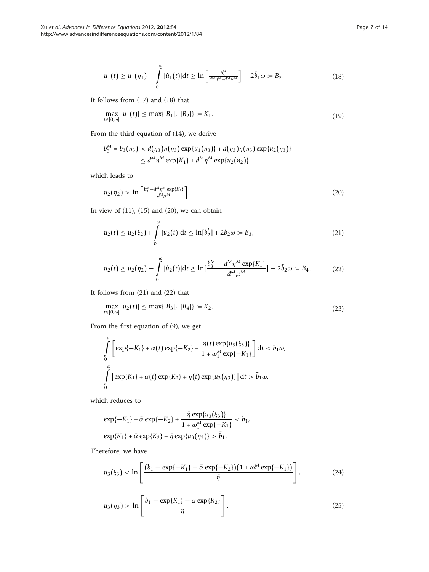$$
u_1(t) \ge u_1(\eta_1) - \int_0^{\omega} |\dot{u}_1(t)| dt \ge \ln \left[ \frac{b_3^M}{d^M \eta^M + d^M \mu^M} \right] - 2\bar{b}_1 \omega := B_2.
$$
 (18)

It follows from (17) and (18) that

$$
\max_{t \in [0,\omega]} |u_1(t)| \le \max\{|B_1|, |B_2|\} := K_1. \tag{19}
$$

From the third equation of (14), we derive

$$
b_3^M = b_3(\eta_3) < d(\eta_3)\eta(\eta_3) \exp\{u_1(\eta_3)\} + d(\eta_3)\eta(\eta_3) \exp\{u_2(\eta_3)\} \\
 \leq d^M \eta^M \exp\{K_1\} + d^M \eta^M \exp\{u_2(\eta_2)\}
$$

which leads to

$$
u_2(\eta_2) > \ln\left[\frac{b_3^M - d^M \eta^M \exp\{K_1\}}{d^M \mu^M}\right].
$$
\n(20)

In view of  $(11)$ ,  $(15)$  and  $(20)$ , we can obtain

$$
u_2(t) \le u_2(\xi_2) + \int_0^\omega |\dot{u}_2(t)| \mathrm{d}t \le \ln[b_2^L] + 2\bar{b}_2\omega := B_3,\tag{21}
$$

$$
u_2(t) \ge u_2(\eta_2) - \int_0^{\omega} |\dot{u}_2(t)| dt \ge \ln\left[\frac{b_3^M - d^M \eta^M \exp\{K_1\}}{d^M \mu^M}\right] - 2\bar{b}_2 \omega := B_4. \tag{22}
$$

It follows from (21) and (22) that

$$
\max_{t \in [0,\omega]} |u_2(t)| \le \max\{|B_3|, |B_4|\} := K_2. \tag{23}
$$

From the first equation of (9), we get

$$
\int_{0}^{\omega} \left[ \exp\{-K_{1}\} + \alpha(t) \exp\{-K_{2}\} + \frac{\eta(t) \exp\{u_{3}(\xi_{3})\}}{1 + \omega_{1}^{M} \exp\{-K_{1}\}} \right] dt < \bar{b}_{1}\omega,
$$
  

$$
\int_{0}^{\omega} \left[ \exp\{K_{1}\} + \alpha(t) \exp\{K_{2}\} + \eta(t) \exp\{u_{3}(\eta_{3})\} \right] dt > \bar{b}_{1}\omega,
$$

which reduces to

$$
\exp\{-K_1\} + \bar{\alpha} \exp\{-K_2\} + \frac{\bar{\eta} \exp\{u_3(\xi_3)\}}{1 + \omega_1^M \exp\{-K_1\}} < \bar{b}_1,
$$
  
\n
$$
\exp\{K_1\} + \bar{\alpha} \exp\{K_2\} + \bar{\eta} \exp\{u_3(\eta_3)\} > \bar{b}_1.
$$

Therefore, we have

$$
u_3(\xi_3) < \ln\left[\frac{(\bar{b}_1 - \exp\{-K_1\} - \bar{\alpha} \exp\{-K_2\}) (1 + \omega_1^M \exp\{-K_1\})}{\bar{\eta}}\right],\tag{24}
$$

$$
u_3(\eta_3) > \ln\left[\frac{\bar{b}_1 - \exp\{K_1\} - \bar{\alpha} \exp\{K_2\}}{\bar{\eta}}\right].
$$
 (25)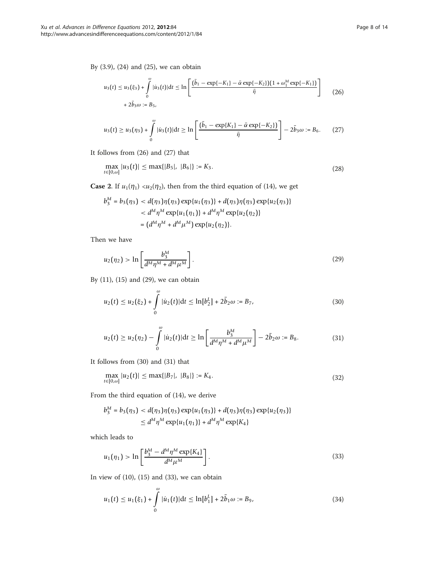By (3.9), (24) and (25), we can obtain

$$
u_3(t) \le u_3(\xi_3) + \int_0^{\omega} |u_3(t)| dt \le \ln \left[ \frac{(\bar{b}_1 - \exp\{-K_1\} - \bar{\alpha} \exp\{-K_2\}) (1 + \omega_1^M \exp\{-K_1\})}{\bar{\eta}} \right] \tag{26}
$$
  
+  $2\bar{b}_3\omega := B_5$ ,

$$
u_3(t) \ge u_3(\eta_3) + \int\limits_0^{\omega} |\dot{u}_3(t)| dt \ge \ln\left[\frac{(\bar{b}_1 - \exp\{K_1\} - \bar{\alpha} \exp\{-K_2\})}{\bar{\eta}}\right] - 2\bar{b}_3\omega := B_6. \tag{27}
$$

It follows from (26) and (27) that

$$
\max_{t \in [0,\omega]} |u_3(t)| \le \max\{|B_5|, |B_6|\} := K_3. \tag{28}
$$

**Case 2.** If  $u_1(\eta_1) \langle u_2(\eta_2) \rangle$ , then from the third equation of (14), we get

$$
b_3^M = b_3(\eta_3) < d(\eta_3)\eta(\eta_3) \exp\{u_1(\eta_3)\} + d(\eta_3)\eta(\eta_3) \exp\{u_2(\eta_3)\} \\
&< d^M \eta^M \exp\{u_1(\eta_1)\} + d^M \eta^M \exp\{u_2(\eta_2)\} \\
&= (d^M \eta^M + d^M \mu^M) \exp\{u_2(\eta_2)\}.
$$

Then we have

$$
u_2(\eta_2) > \ln\left[\frac{b_3^M}{d^M \eta^M + d^M \mu^M}\right].
$$
\n(29)

By (11), (15) and (29), we can obtain

$$
u_2(t) \le u_2(\xi_2) + \int_0^\omega |\dot{u}_2(t)| dt \le \ln[b_2^L] + 2\bar{b}_2 \omega := B_7,
$$
\n(30)

$$
u_2(t) \ge u_2(\eta_2) - \int_0^{\omega} |\dot{u}_2(t)| dt \ge \ln \left[ \frac{b_3^M}{d^M \eta^M + d^M \mu^M} \right] - 2\bar{b}_2 \omega := B_8. \tag{31}
$$

It follows from (30) and (31) that

$$
\max_{t \in [0,\omega]} |u_2(t)| \le \max\{|B_7|, |B_8|\} := K_4. \tag{32}
$$

From the third equation of (14), we derive

$$
b_3^M = b_3(\eta_3) < d(\eta_3)\eta(\eta_3) \exp\{u_1(\eta_3)\} + d(\eta_3)\eta(\eta_3) \exp\{u_2(\eta_3)\}\
$$
  
 
$$
\leq d^M \eta^M \exp\{u_1(\eta_1)\} + d^M \eta^M \exp\{K_4\}
$$

which leads to

$$
u_1(\eta_1) > \ln \left[ \frac{b_3^M - d^M \eta^M \exp\{K_4\}}{d^M \mu^M} \right].
$$
 (33)

In view of  $(10)$ ,  $(15)$  and  $(33)$ , we can obtain

$$
u_1(t) \le u_1(\xi_1) + \int_0^{\omega} |\dot{u}_1(t)| dt \le \ln[b_1^L] + 2\bar{b}_1 \omega := B_9,
$$
\n(34)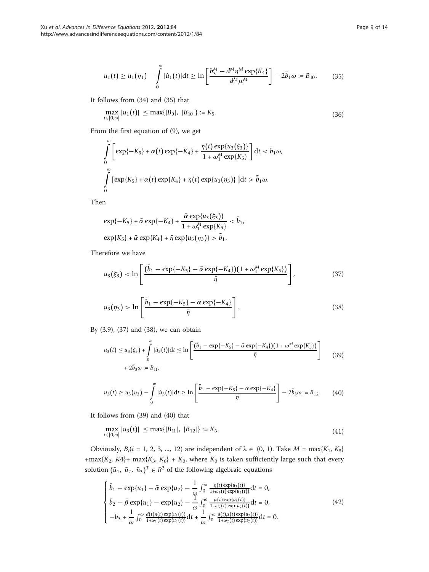$$
u_1(t) \ge u_1(\eta_1) - \int_0^{\omega} |\dot{u}_1(t)| dt \ge \ln \left[ \frac{b_3^M - d^M \eta^M \exp\{K_4\}}{d^M \mu^M} \right] - 2\bar{b}_1 \omega := B_{10}.
$$
 (35)

It follows from (34) and (35) that

$$
\max_{t \in [0,\omega]} |u_1(t)| \le \max\{|B_9|, |B_{10}|\} := K_5. \tag{36}
$$

From the first equation of (9), we get

$$
\int_{0}^{\omega} \left[ \exp\{-K_{5}\} + \alpha(t) \exp\{-K_{4}\} + \frac{\eta(t) \exp\{u_{3}(\xi_{3})\}}{1 + \omega_{1}^{M} \exp\{K_{5}\}} \right] dt < \bar{b}_{1} \omega,
$$
  

$$
\int_{0}^{\omega} \left[ \exp\{K_{5}\} + \alpha(t) \exp\{K_{4}\} + \eta(t) \exp\{u_{3}(\eta_{3})\} \right] dt > \bar{b}_{1} \omega.
$$

Then

$$
\exp\{-K_5\} + \bar{\alpha} \exp\{-K_4\} + \frac{\bar{\alpha} \exp\{u_3(\xi_3)\}}{1 + \omega_1^M \exp\{K_5\}} < \bar{b}_1
$$
  

$$
\exp\{K_5\} + \bar{\alpha} \exp\{K_4\} + \bar{\eta} \exp\{u_3(\eta_3)\} > \bar{b}_1.
$$

Therefore we have

$$
u_3(\xi_3) < \ln\left[\frac{(\bar{b}_1 - \exp\{-K_5\} - \bar{\alpha}\exp\{-K_4\})(1 + \omega_1^M \exp\{K_5\})}{\bar{\eta}}\right],\tag{37}
$$

*b*1,

$$
u_3(\eta_3) > \ln\left[\frac{\bar{b}_1 - \exp\{-K_5\} - \bar{\alpha} \exp\{-K_4\}}{\bar{\eta}}\right].
$$
 (38)

By (3.9), (37) and (38), we can obtain

$$
u_3(t) \le u_3(\xi_3) + \int_0^{\omega} |u_3(t)| dt \le \ln \left[ \frac{(\bar{b}_1 - \exp\{-K_5\} - \bar{\alpha} \exp\{-K_4\}) (1 + \omega_1^M \exp\{K_5\})}{\bar{\eta}} \right] \tag{39}
$$
  
+  $2\bar{b}_3\omega := B_{11}$ ,

$$
u_3(t) \ge u_3(\eta_3) - \int_0^{\omega} |\dot{u}_3(t)| dt \ge \ln\left[\frac{\bar{b}_1 - \exp\{-K_5\} - \bar{\alpha} \exp\{-K_4\}}{\bar{\eta}}\right] - 2\bar{b}_3\omega := B_{12}.
$$
 (40)

It follows from (39) and (40) that

$$
\max_{t \in [0,\omega]} |u_3(t)| \le \max\{|B_{11}|, |B_{12}|\} := K_6. \tag{41}
$$

Obviously,  $B_i(i = 1, 2, 3, ..., 12)$  are independent of  $\lambda \in (0, 1)$ . Take  $M = \max\{K_1, K_5\}$ +max{K<sub>2</sub>, K4}+ max{K<sub>3</sub>, K<sub>6</sub>} + K<sub>0</sub>, where K<sub>0</sub> is taken sufficiently large such that every solution  $(\tilde{u}_1, \tilde{u}_2, \tilde{u}_3)^T \in R^3$  of the following algebraic equations

$$
\begin{cases}\n\bar{b}_1 - \exp\{u_1\} - \bar{\alpha} \exp\{u_2\} - \frac{1}{\omega} \int_0^{\omega} \frac{\eta(t) \exp\{u_3(t)\}}{1 + \omega_1(t) \exp\{u_1(t)\}} dt = 0, \\
\bar{b}_2 - \bar{\beta} \exp\{u_1\} - \exp\{u_2\} - \frac{1}{\omega} \int_0^{\omega} \frac{\mu(t) \exp\{u_3(t)\}}{1 + \omega_2(t) \exp\{u_2(t)\}} dt = 0, \\
-\bar{b}_3 + \frac{1}{\omega} \int_0^{\omega} \frac{d(t) \eta(t) \exp\{u_1(t)\}}{1 + \omega_1(t) \exp\{u_1(t)\}} dt + \frac{1}{\omega} \int_0^{\omega} \frac{d(t) \mu(t) \exp\{u_2(t)\}}{1 + \omega_2(t) \exp\{u_2(t)\}} dt = 0.\n\end{cases} \tag{42}
$$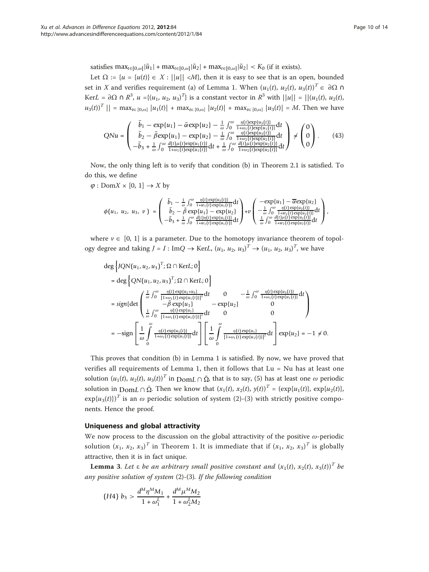satisfies  $\max_{t \in [0,\omega]} |\tilde{u}_1| + \max_{t \in [0,\omega]} |\tilde{u}_2| + \max_{t \in [0,\omega]} |\tilde{u}_2| < K_0$  (if it exists).

Let  $\Omega := \{u = \{u(t)\}\in X : ||u|| < M\}$ , then it is easy to see that is an open, bounded set in X and verifies requirement (a) of Lemma 1. When  $(u_1(t), u_2(t), u_3(t))^T \in \partial \Omega$  ∩ KerL =  $\partial\Omega \cap R^3$ ,  $u = \{(u_1, u_2, u_3)^T\}$  is a constant vector in  $R^3$  with  $||u|| = ||(u_1(t), u_2(t), u_3(t))||$  $|u_3(t)|^T$  || = max $_{t\in [0,\omega]}$  |u<sub>1</sub>(t)| + max $_{t\in [0,\omega]}$  |u<sub>2</sub>(t)| + max $_{t\in [0,\omega]}$  |u<sub>3</sub>(t)| = M. Then we have

$$
QNu = \begin{pmatrix} \bar{b}_1 - \exp\{u_1\} - \bar{\alpha} \exp\{u_2\} - \frac{1}{\omega} \int_0^{\omega} \frac{\eta(t) \exp\{u_3(t)\}}{1 + \omega_1(t) \exp\{u_1(t)\}} dt \\ \bar{b}_2 - \bar{\beta} \exp\{u_1\} - \exp\{u_2\} - \frac{1}{\omega} \int_0^{\omega} \frac{\eta(t) \exp\{u_3(t)\}}{1 + \omega_2(t) \exp\{u_2(t)\}} dt \\ -\bar{b}_3 + \frac{1}{\omega} \int_0^{\omega} \frac{d(t)\mu(t) \exp\{u_1(t)\}}{1 + \omega_1(t) \exp\{u_1(t)\}} dt + \frac{1}{\omega} \int_0^{\omega} \frac{d(t)\mu(t) \exp\{u_2(t)\}}{1 + \omega_2(t) \exp\{u_2(t)\}} dt \end{pmatrix} \neq \begin{pmatrix} 0 \\ 0 \\ 0 \end{pmatrix}.
$$
 (43)

Now, the only thing left is to verify that condition (b) in Theorem 2.1 is satisfied. To do this, we define

 $\varphi$  : Dom $X \times [0, 1] \rightarrow X$  by

$$
\phi(u_1, u_2, u_3, v) = \begin{pmatrix} \bar{b}_1 - \frac{1}{\omega} \int_0^{\omega} \frac{\eta(t) \exp\{u_3(t)\}}{1 + w_1(t) \exp\{u_1(t)\}} dt \\ \bar{b}_2 - \bar{\beta} \exp\{u_2\} \\ -\bar{b}_3 + \frac{1}{\omega} \int_0^{\omega} \frac{d(t) \eta(t) \exp\{u_1(t)\}}{1 + w_1(t) \exp\{u_1(t)\}} dt \end{pmatrix} + v \begin{pmatrix} -\exp\{u_1\} - \bar{\alpha} \exp\{u_2\} \\ -\frac{1}{\omega} \int_0^{\omega} \frac{\eta(t) \exp\{u_3(t)\}}{1 + w_2(t) \exp\{u_2(t)\}} dt \\ \frac{1}{\omega} \int_0^{\omega} \frac{d(t) \mu(t) \exp\{u_2(t)\}}{1 + w_2(t) \exp\{u_2(t)\}} dt \end{pmatrix},
$$

where  $v \in [0, 1]$  is a parameter. Due to the homotopy invariance theorem of topology degree and taking  $J = I : \text{Im}Q \to \text{Ker}L$ ,  $(u_1, u_2, u_3)^T \to (u_1, u_2, u_3)^T$ , we have

$$
\begin{split}\n\deg \left\{ JQN(u_{1}, u_{2}, u_{3})^{T}; \Omega \cap \text{Ker}L; 0 \right\} \\
&= \deg \left\{ QN(u_{1}, u_{2}, u_{3})^{T}; \Omega \cap \text{Ker}L; 0 \right\} \\
&= sign \{ \det \begin{pmatrix} \frac{1}{\omega} \int_{0}^{\omega} \frac{\eta(t) \exp\{u_{1} + u_{3}\}}{[1 + \omega_{1}(t) \exp\{u_{1}(t)\}]^{2}} dt & 0 & -\frac{1}{\omega} \int_{0}^{\omega} \frac{\eta(t) \exp\{u_{3}(t)\}}{1 + \omega_{1}(t) \exp\{u_{1}(t)\}} dt \right) \\
&= sign \{ \det \begin{pmatrix} \frac{1}{\omega} \int_{0}^{\omega} \frac{\eta(t) \exp\{u_{1}\}}{[1 + \omega_{1}(t) \exp\{u_{1}(t)\}]^{2}} dt & 0 & -\exp\{u_{2}\} & 0 \\
\frac{1}{\omega} \int_{0}^{\omega} \frac{\eta(t) \exp\{u_{3}(t)\}}{[1 + \omega_{1}(t) \exp\{u_{1}(t)\}]^{2}} dt & 0 & 0\n\end{pmatrix} \\
&= -sign \begin{bmatrix} \frac{1}{\omega} \int_{0}^{\omega} \frac{\eta(t) \exp\{u_{3}(t)\}}{1 + \omega_{1}(t) \exp\{u_{1}(t)\}} dt \end{bmatrix} \begin{bmatrix} \frac{1}{\omega} \int_{0}^{\omega} \frac{\eta(t) \exp\{u_{1}\}}{[1 + \omega_{1}(t) \exp\{u_{1}(t)\}]^{2}} dt \end{bmatrix} exp\{u_{2}\} = -1 \neq 0.\n\end{split}
$$

This proves that condition (b) in Lemma 1 is satisfied. By now, we have proved that verifies all requirements of Lemma 1, then it follows that Lu = Nu has at least one solution  $(u_1(t), u_2(t), u_3(t))^T$  in  $\text{Dom } L \cap \overline{\Omega}$ , that is to say, (5) has at least one  $\omega$  periodic solution in  $\text{Dom}L \cap \overline{\Omega}$ . Then we know that  $(x_1(t), x_2(t), y(t))^T = (\exp\{u_1(t)\}, \exp\{u_2(t)\},$  $\exp\{u_3(t)\}\$ <sup>T</sup> is an  $\omega$  periodic solution of system (2)-(3) with strictly positive components. Hence the proof.

#### Uniqueness and global attractivity

We now process to the discussion on the global attractivity of the positive  $\omega$ -periodic solution  $(x_1, x_2, x_3)^T$  in Theorem 1. It is immediate that if  $(x_1, x_2, x_3)^T$  is globally attractive, then it is in fact unique.

**Lemma 3.** Let  $\varepsilon$  be an arbitrary small positive constant and  $(x_1(t), x_2(t), x_3(t))^T$  be any positive solution of system (2)-(3). If the following condition

(H4) 
$$
b_3 > \frac{d^M \eta^M M_1}{1 + \omega_1^L} + \frac{d^M \mu^M M_2}{1 + \omega_2^L M_2}
$$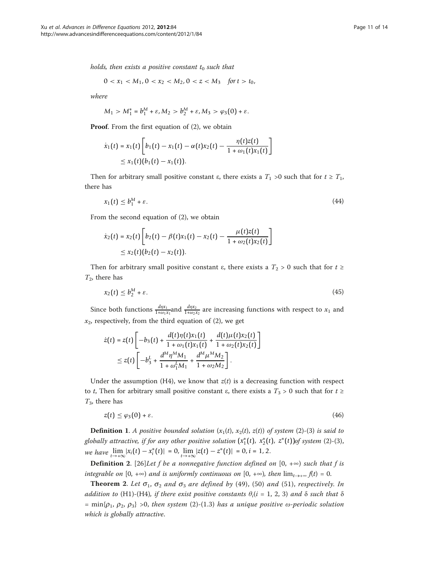holds, then exists a positive constant  $t_0$  such that

$$
0 < x_1 < M_1, 0 < x_2 < M_2, 0 < z < M_3 \quad \text{for } t > t_0,
$$

where

$$
M_1 > M_1^* = b_1^M + \varepsilon, M_2 > b_2^M + \varepsilon, M_3 > \varphi_3(0) + \varepsilon.
$$

**Proof.** From the first equation of (2), we obtain

$$
\dot{x}_1(t) = x_1(t) \left[ b_1(t) - x_1(t) - \alpha(t) x_2(t) - \frac{\eta(t) z(t)}{1 + \omega_1(t) x_1(t)} \right]
$$
  
 
$$
\leq x_1(t) (b_1(t) - x_1(t)).
$$

Then for arbitrary small positive constant  $\varepsilon$ , there exists a  $T_1 > 0$  such that for  $t \geq T_1$ , there has

$$
x_1(t) \le b_1^M + \varepsilon. \tag{44}
$$

From the second equation of (2), we obtain

$$
\dot{x}_2(t) = x_2(t) \left[ b_2(t) - \beta(t) x_1(t) - x_2(t) - \frac{\mu(t) z(t)}{1 + \omega_2(t) x_2(t)} \right]
$$
  
 
$$
\leq x_2(t) (b_2(t) - x_2(t)).
$$

Then for arbitrary small positive constant  $\varepsilon$ , there exists a  $T_2 > 0$  such that for  $t \geq$  $T_2$ , there has

$$
x_2(t) \le b_2^M + \varepsilon. \tag{45}
$$

Since both functions  $\frac{d\eta x_1}{1+\omega_1 x_1}$  and  $\frac{d\eta x_2}{1+\omega_2 x_2}$  are increasing functions with respect to  $x_1$  and  $x_2$ , respectively, from the third equation of (2), we get

$$
\dot{z}(t) = z(t) \left[ -b_3(t) + \frac{d(t)\eta(t)x_1(t)}{1 + \omega_1(t)x_1(t)} + \frac{d(t)\mu(t)x_2(t)}{1 + \omega_2(t)x_2(t)} \right]
$$
  

$$
\leq z(t) \left[ -b_3^L + \frac{d^M \eta^M M_1}{1 + \omega_1^L M_1} + \frac{d^M \mu^M M_2}{1 + \omega_2 M_2} \right].
$$

Under the assumption (H4), we know that  $z(t)$  is a decreasing function with respect to *t*, Then for arbitrary small positive constant  $\varepsilon$ , there exists a  $T_3 > 0$  such that for  $t \ge$  $T_3$ , there has

$$
z(t) \le \varphi_3(0) + \varepsilon. \tag{46}
$$

**Definition 1.** A positive bounded solution  $(x_1(t), x_2(t), z(t))$  of system (2)-(3) is said to globally attractive, if for any other positive solution  $(x_1^*(t),\ x_2^*(t),\ z^*(t))$ of system (2)-(3), we have  $\lim_{t \to +\infty} |x_i(t) - x_i^*(t)| = 0$ ,  $\lim_{t \to +\infty} |z(t) - z^*(t)| = 0$ , *i* = 1, 2.

**Definition 2.** [[26](#page-13-0)]Let f be a nonnegative function defined on  $[0, +\infty)$  such that f is integrable on  $[0, +\infty)$  and is uniformly continuous on  $[0, +\infty)$ , then  $\lim_{t\to+\infty} f(t) = 0$ .

**Theorem 2.** Let  $\sigma_1$ ,  $\sigma_2$  and  $\sigma_3$  are defined by (49), (50) and (51), respectively. In addition to (H1)-(H4), if there exist positive constants  $\theta_i$ (i = 1, 2, 3) and  $\delta$  such that  $\delta$ = min{ $\rho_1$ ,  $\rho_2$ ,  $\rho_3$ } >0, then system (2)-(1.3) has a unique positive  $\omega$ -periodic solution which is globally attractive.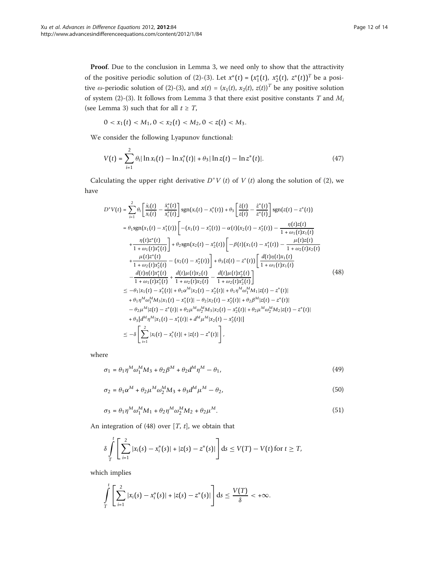Proof. Due to the conclusion in Lemma 3, we need only to show that the attractivity of the positive periodic solution of (2)-(3). Let  $x^*(t) = (x_1^*(t), x_2^*(t), z^*(t))^T$  be a positive  $\omega$ -periodic solution of (2)-(3), and  $x(t)=(x_1(t), x_2(t), z(t))^T$  be any positive solution of system (2)-(3). It follows from Lemma 3 that there exist positive constants T and  $M_i$ (see Lemma 3) such that for all  $t \geq T$ ,

$$
0 < x_1(t) < M_1, \quad 0 < x_2(t) < M_2, \quad 0 < z(t) < M_3.
$$

We consider the following Lyapunov functional:

$$
V(t) = \sum_{i=1}^{2} \theta_i |\ln x_i(t) - \ln x_i^*(t)| + \theta_3 |\ln z(t) - \ln z^*(t)|. \tag{47}
$$

Calculating the upper right derivative  $D^+V(t)$  of  $V(t)$  along the solution of (2), we have

$$
D^{+}V(t) = \sum_{i=1}^{2} \theta_{i} \left[ \frac{\dot{x}_{i}(t)}{x_{i}(t)} - \frac{\dot{x}_{i}^{*}(t)}{x_{i}^{*}(t)} \right] \operatorname{sgn}(x_{i}(t) - x_{i}^{*}(t)) + \theta_{3} \left[ \frac{\dot{z}(t)}{z(t)} - \frac{\dot{z}^{*}(t)}{z^{*}(t)} \right] \operatorname{sgn}(z(t) - z^{*}(t))
$$
\n
$$
= \theta_{1} \operatorname{sgn}(x_{1}(t) - x_{1}^{*}(t)) \left[ -(x_{1}(t) - x_{1}^{*}(t)) - \alpha(t)(x_{2}(t) - x_{2}^{*}(t)) - \frac{\eta(t)z(t)}{1 + \omega_{1}(t)x_{1}(t)} \right] + \theta_{2} \operatorname{sgn}(x_{2}(t) - x_{2}^{*}(t)) \left[ -\beta(t)(x_{1}(t) - x_{1}^{*}(t)) - \frac{\mu(t)z(t)}{1 + \omega_{2}(t)x_{2}(t)} \right] + \theta_{2} \operatorname{sgn}(x_{2}(t) - x_{2}^{*}(t)) \left[ -\beta(t)(x_{1}(t) - x_{1}^{*}(t)) - \frac{\mu(t)z(t)}{1 + \omega_{2}(t)x_{2}(t)} \right] + \theta_{3} (z(t) - z^{*}(t)) \left[ \frac{d(t)\eta(t)x_{1}(t)}{1 + \omega_{1}(t)x_{1}(t)} - \frac{d(t)\eta(t)x_{1}^{*}(t)}{1 + \omega_{1}(t)x_{1}^{*}(t)} + \frac{d(t)\mu(t)x_{2}(t)}{1 + \omega_{2}(t)x_{2}(t)} - \frac{d(t)\mu(t)x_{2}^{*}(t)}{1 + \omega_{2}(t)x_{2}^{*}(t)} \right] \tag{48}
$$
\n
$$
\leq -\theta_{1}|x_{1}(t) - x_{1}^{*}(t)| + \theta_{1}\alpha^{M} |x_{2}(t) - x_{2}^{*}(t)| + \theta_{1}\eta^{M} \omega_{1}^{M} |x_{2}(t) - z^{*}(t)| + \theta_{2}\mu^{M} \omega_{1}^{M} |x_{2}(t) - z^{*}(t)| + \theta_{2}\mu^{M} \omega_{2}^{M} |x_{2}(t) - z^{*}(t)| - \theta_{2}\mu^{M} |z(t) - z^{*
$$

where

$$
\sigma_1 = \theta_1 \eta^M \omega_1^M M_3 + \theta_2 \beta^M + \theta_2 d^M \eta^M - \theta_1,\tag{49}
$$

$$
\sigma_2 = \theta_1 \alpha^M + \theta_2 \mu^M \omega_2^M M_3 + \theta_3 d^M \mu^M - \theta_2,\tag{50}
$$

$$
\sigma_3 = \theta_1 \eta^M \omega_1^M M_1 + \theta_2 \eta^M \omega_2^M M_2 + \theta_2 \mu^M. \tag{51}
$$

An integration of  $(48)$  over  $[T, t]$ , we obtain that

$$
\delta \int\limits_T^t \left[ \sum\limits_{i=1}^2 |x_i(s) - x_i^*(s)| + |z(s) - z^*(s)| \right] ds \le V(T) - V(t) \text{ for } t \ge T,
$$

which implies

$$
\int_{T}^{t} \left[ \sum_{i=1}^{2} |x_{i}(s) - x_{i}^{*}(s)| + |z(s) - z^{*}(s)| \right] ds \leq \frac{V(T)}{\delta} < +\infty.
$$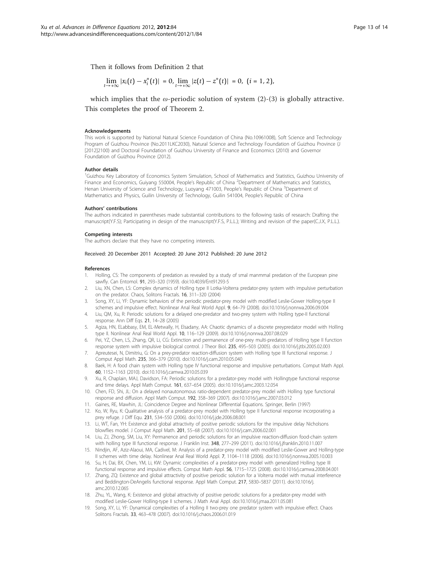<span id="page-12-0"></span>Then it follows from Definition 2 that

$$
\lim_{t\to+\infty}|x_i(t)-x_i^*(t)|=0, \lim_{t\to+\infty}|z(t)-z^*(t)|=0, \ (i=1,2),
$$

which implies that the  $\omega$ -periodic solution of system (2)-(3) is globally attractive. This completes the proof of Theorem 2.

#### Acknowledgements

This work is supported by National Natural Science Foundation of China (No.10961008), Soft Science and Technology Program of Guizhou Province (No.2011LKC2030), Natural Science and Technology Foundation of Guizhou Province (J [2012]2100) and Doctoral Foundation of Guizhou University of Finance and Economics (2010) and Governor Foundation of Guizhou Province (2012).

#### Author details

<sup>1</sup>Guizhou Key Laboratory of Economics System Simulation, School of Mathematics and Statistics, Guizhou University of Finance and Economics, Guiyang 550004, People's Republic of China <sup>2</sup>Department of Mathematics and Statistics, Henan University of Science and Technology, Luoyang 471003, People's Republic of China <sup>3</sup>Department of Mathematics and Physics, Guilin University of Technology, Guilin 541004, People's Republic of China

#### Authors' contributions

The authors indicated in parentheses made substantial contributions to the following tasks of research: Drafting the manuscript(Y.F.S); Participating in design of the manuscript(Y.F.S, P.L.L.); Writing and revision of the paper(C.J.X, P.L.L.).

#### Competing interests

The authors declare that they have no competing interests.

#### Received: 20 December 2011 Accepted: 20 June 2012 Published: 20 June 2012

#### References

- 1. Holling, CS: The components of predation as revealed by a study of smal manmmal predation of the European pine sawfly. Can Entomol. 91, 293–320 (1959). doi:10.4039/Ent91293-5
- 2. Liu, XN, Chen, LS: Complex dynamics of Holling type II Lotka-Volterra predator-prey system with impulsive perturbation on the predator. Chaos, Solitons Fractals. 16, 311–320 (2004)
- 3. Song, XY, Li, YF: Dynamic behaviors of the periodic predator-prey model with modified Leslie-Gower Holling-type II schemes and impulsive effect. Nonlinear Anal Real World Appl. 9, 64–79 (2008). doi:10.1016/j.nonrwa.2006.09.004
- 4. Liu, QM, Xu, R: Periodic solutions for a delayed one-predator and two-prey system with Holling type-II functional response. Ann Diff Eqs. 21, 14–28 (2005)
- 5. Agiza, HN, ELabbasy, EM, EL-Metwally, H, Elsadany, AA: Chaotic dynamics of a discrete preypredator model with Holling type II. Nonlinear Anal Real World Appl. 10, 116–129 (2009). doi:10.1016/j.nonrwa.2007.08.029
- 6. Pei, YZ, Chen, LS, Zhang, QR, Li, CG[: Extinction and permanence of one-prey multi-predators of Holling type II function](http://www.ncbi.nlm.nih.gov/pubmed/15935168?dopt=Abstract) [response system with impulsive biological control.](http://www.ncbi.nlm.nih.gov/pubmed/15935168?dopt=Abstract) J Theor Biol. 235, 495–503 (2005). doi:10.1016/j.jtbi.2005.02.003
- 7. Apreutesei, N, Dimitriu, G: On a prey-predator reaction-diffusion system with Holling type III functional response. J Comput Appl Math. 235, 366–379 (2010). doi:10.1016/j.cam.2010.05.040
- 8. Baek, H: A food chain system with Holling type IV functional response and impulsive perturbations. Comput Math Appl. 60, 1152–1163 (2010). doi:10.1016/j.camwa.2010.05.039
- 9. Xu, R, Chaplain, MAJ, Davidson, FA: Periodic solutions for a predator-prey model with Hollingtype functional response and time delays. Appl Math Comput. 161, 637–654 (2005). doi:10.1016/j.amc.2003.12.054
- 10. Chen, FD, Shi, JL: On a delayed nonautonomous ratio-dependent predator-prey model with Holling type functional response and diffusion. Appl Math Comput. 192, 358–369 (2007). doi:10.1016/j.amc.2007.03.012
- 11. Gaines, RE, Mawhin, JL: Coincidence Degree and Nonlinear Differential Equations. Springer, Berlin (1997)
- 12. Ko, W, Ryu, K: Qualitative analysis of a predator-prey model with Holling type II functional response incorporating a prey refuge. J Diff Equ. 231, 534–550 (2006). doi:10.1016/j.jde.2006.08.001
- 13. Li, WT, Fan, YH: Existence and global attractivity of positive periodic solutions for the impulsive delay Nicholsons blowflies model. J Comput Appl Math. 201, 55–68 (2007). doi:10.1016/j.cam.2006.02.001
- 14. Liu, ZJ, Zhong, SM, Liu, XY: Permanence and periodic solutions for an impulsive reaction-diffusion food-chain system with holling type III functional response. J Franklin Inst. 348, 277–299 (2011). doi:10.1016/j.jfranklin.2010.11.007
- 15. Nindjin, AF, Aziz-Alaoui, MA, Cadivel, M: Analysis of a predator-prey model with modified Leslie-Gower and Holling-type II schemes with time delay. Nonlinear Anal Real World Appl. 7, 1104–1118 (2006). doi:10.1016/j.nonrwa.2005.10.003
- 16. Su, H, Dai, BX, Chen, YM, Li, KW: Dynamic complexities of a predator-prey model with generalized Holling type III functional response and impulsive effects. Comput Math Appl. 56, 1715–1725 (2008). doi:10.1016/j.camwa.2008.04.001
- 17. Zhang, ZQ: Existence and global attractivity of positive periodic solution for a Volterra model with mutual interference and Beddington-DeAngelis functional response. Appl Math Comput. 217, 5830–5837 (2011). doi:10.1016/j. amc.2010.12.065
- 18. Zhu, YL, Wang, K: Existence and global attractivity of positive periodic solutions for a predator-prey model with modified Leslie-Gower Holling-type II schemes. J Math Anal Appl. doi:10.1016/j.jmaa.2011.05.081
- 19. Song, XY, Li, YF: Dynamical complexities of a Holling II two-prey one predator system with impulsive effect. Chaos Solitons Fractals. 33, 463–478 (2007). doi:10.1016/j.chaos.2006.01.019